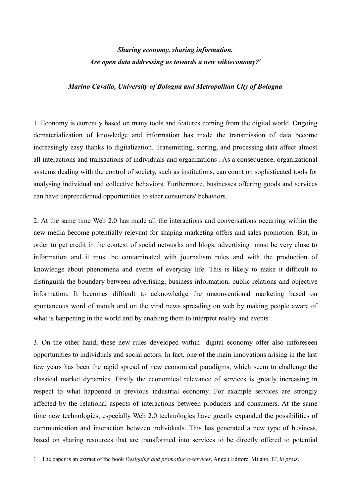# *Sharing economy, sharing information. Are open data addressing us towards a new wikieconomy?[1](#page-0-0)*

## *Marino Cavallo, University of Bologna and Metropolitan City of Bologna*

1. Economy is currently based on many tools and features coming from the digital world. Ongoing dematerialization of knowledge and information has made the transmission of data become increasingly easy thanks to digitalization. Transmitting, storing, and processing data affect almost all interactions and transactions of individuals and organizations . As a consequence, organizational systems dealing with the control of society, such as institutions, can count on sophisticated tools for analysing individual and collective behaviors. Furthermore, businesses offering goods and services can have unprecedented opportunities to steer consumers' behaviors.

2. At the same time Web 2.0 has made all the interactions and conversations occurring within the new media become potentially relevant for shaping marketing offers and sales promotion. But, in order to get credit in the context of social networks and blogs, advertising must be very close to information and it must be contaminated with journalism rules and with the production of knowledge about phenomena and events of everyday life. This is likely to make it difficult to distinguish the boundary between advertising, business information, public relations and objective information. It becomes difficult to acknowledge the unconventional marketing based on spontaneous word of mouth and on the viral news spreading on web by making people aware of what is happening in the world and by enabling them to interpret reality and events .

3. On the other hand, these new rules developed within digital economy offer also unforeseen opportunities to individuals and social actors. In fact, one of the main innovations arising in the last few years has been the rapid spread of new economical paradigms, which seem to challenge the classical market dynamics. Firstly the economical relevance of services is greatly increasing in respect to what happened in previous industrial economy. For example services are strongly affected by the relational aspects of interactions between producers and consumers. At the same time new technologies, especially Web 2.0 technologies have greatly expanded the possibilities of communication and interaction between individuals. This has generated a new type of business, based on sharing resources that are transformed into services to be directly offered to potential

<span id="page-0-0"></span><sup>1</sup> The paper is an extract of the book *Designing and promoting e-services*, Angeli Editore, Milano, IT, *in press*.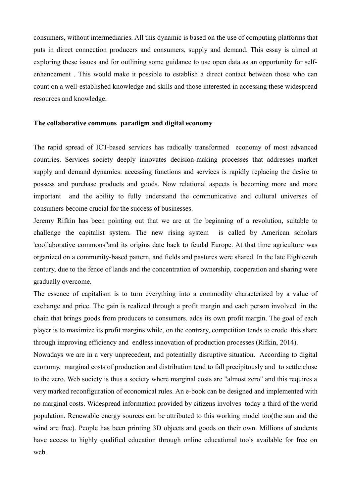consumers, without intermediaries. All this dynamic is based on the use of computing platforms that puts in direct connection producers and consumers, supply and demand. This essay is aimed at exploring these issues and for outlining some guidance to use open data as an opportunity for selfenhancement . This would make it possible to establish a direct contact between those who can count on a well-established knowledge and skills and those interested in accessing these widespread resources and knowledge.

# **The collaborative commons paradigm and digital economy**

The rapid spread of ICT-based services has radically transformed economy of most advanced countries. Services society deeply innovates decision-making processes that addresses market supply and demand dynamics: accessing functions and services is rapidly replacing the desire to possess and purchase products and goods. Now relational aspects is becoming more and more important and the ability to fully understand the communicative and cultural universes of consumers become crucial for the success of businesses.

Jeremy Rifkin has been pointing out that we are at the beginning of a revolution, suitable to challenge the capitalist system. The new rising system is called by American scholars 'coollaborative commons"and its origins date back to feudal Europe. At that time agriculture was organized on a community-based pattern, and fields and pastures were shared. In the late Eighteenth century, due to the fence of lands and the concentration of ownership, cooperation and sharing were gradually overcome.

The essence of capitalism is to turn everything into a commodity characterized by a value of exchange and price. The gain is realized through a profit margin and each person involved in the chain that brings goods from producers to consumers. adds its own profit margin. The goal of each player is to maximize its profit margins while, on the contrary, competition tends to erode this share through improving efficiency and endless innovation of production processes (Rifkin, 2014).

Nowadays we are in a very unprecedent, and potentially disruptive situation. According to digital economy, marginal costs of production and distribution tend to fall precipitously and to settle close to the zero. Web society is thus a society where marginal costs are "almost zero" and this requires a very marked reconfiguration of economical rules. An e-book can be designed and implemented with no marginal costs. Widespread information provided by citizens involves today a third of the world population. Renewable energy sources can be attributed to this working model too(the sun and the wind are free). People has been printing 3D objects and goods on their own. Millions of students have access to highly qualified education through online educational tools available for free on web.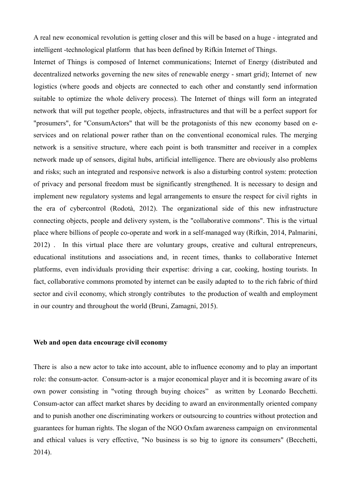A real new economical revolution is getting closer and this will be based on a huge - integrated and intelligent -technological platform that has been defined by Rifkin Internet of Things.

Internet of Things is composed of Internet communications; Internet of Energy (distributed and decentralized networks governing the new sites of renewable energy - smart grid); Internet of new logistics (where goods and objects are connected to each other and constantly send information suitable to optimize the whole delivery process). The Internet of things will form an integrated network that will put together people, objects, infrastructures and that will be a perfect support for "prosumers", for "ConsumActors" that will be the protagonists of this new economy based on eservices and on relational power rather than on the conventional economical rules. The merging network is a sensitive structure, where each point is both transmitter and receiver in a complex network made up of sensors, digital hubs, artificial intelligence. There are obviously also problems and risks; such an integrated and responsive network is also a disturbing control system: protection of privacy and personal freedom must be significantly strengthened. It is necessary to design and implement new regulatory systems and legal arrangements to ensure the respect for civil rights in the era of cybercontrol (Rodotà, 2012). The organizational side of this new infrastructure connecting objects, people and delivery system, is the "collaborative commons". This is the virtual place where billions of people co-operate and work in a self-managed way (Rifkin, 2014, Palmarini, 2012) . In this virtual place there are voluntary groups, creative and cultural entrepreneurs, educational institutions and associations and, in recent times, thanks to collaborative Internet platforms, even individuals providing their expertise: driving a car, cooking, hosting tourists. In fact, collaborative commons promoted by internet can be easily adapted to to the rich fabric of third sector and civil economy, which strongly contributes to the production of wealth and employment in our country and throughout the world (Bruni, Zamagni, 2015).

#### **Web and open data encourage civil economy**

There is also a new actor to take into account, able to influence economy and to play an important role: the consum-actor. Consum-actor is a major economical player and it is becoming aware of its own power consisting in "voting through buying choices" as written by Leonardo Becchetti. Consum-actor can affect market shares by deciding to award an environmentally oriented company and to punish another one discriminating workers or outsourcing to countries without protection and guarantees for human rights. The slogan of the NGO Oxfam awareness campaign on environmental and ethical values is very effective, "No business is so big to ignore its consumers" (Becchetti, 2014).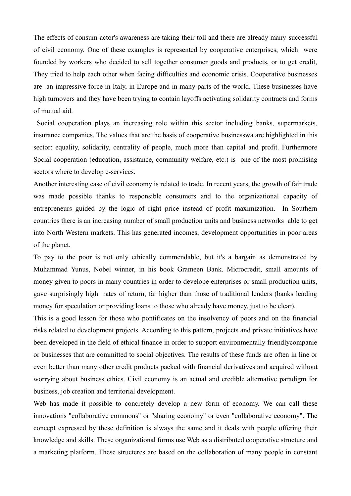The effects of consum-actor's awareness are taking their toll and there are already many successful of civil economy. One of these examples is represented by cooperative enterprises, which were founded by workers who decided to sell together consumer goods and products, or to get credit, They tried to help each other when facing difficulties and economic crisis. Cooperative businesses are an impressive force in Italy, in Europe and in many parts of the world. These businesses have high turnovers and they have been trying to contain layoffs activating solidarity contracts and forms of mutual aid.

 Social cooperation plays an increasing role within this sector including banks, supermarkets, insurance companies. The values that are the basis of cooperative businesswa are highlighted in this sector: equality, solidarity, centrality of people, much more than capital and profit. Furthermore Social cooperation (education, assistance, community welfare, etc.) is one of the most promising sectors where to develop e-services.

Another interesting case of civil economy is related to trade. In recent years, the growth of fair trade was made possible thanks to responsible consumers and to the organizational capacity of entrepreneurs guided by the logic of right price instead of profit maximization. In Southern countries there is an increasing number of small production units and business networks able to get into North Western markets. This has generated incomes, development opportunities in poor areas of the planet.

To pay to the poor is not only ethically commendable, but it's a bargain as demonstrated by Muhammad Yunus, Nobel winner, in his book Grameen Bank. Microcredit, small amounts of money given to poors in many countries in order to develope enterprises or small production units, gave surprisingly high rates of return, far higher than those of traditional lenders (banks lending money for speculation or providing loans to those who already have money, just to be clear).

This is a good lesson for those who pontificates on the insolvency of poors and on the financial risks related to development projects. According to this pattern, projects and private initiatives have been developed in the field of ethical finance in order to support environmentally friendlycompanie or businesses that are committed to social objectives. The results of these funds are often in line or even better than many other credit products packed with financial derivatives and acquired without worrying about business ethics. Civil economy is an actual and credible alternative paradigm for business, job creation and territorial development.

Web has made it possible to concretely develop a new form of economy. We can call these innovations "collaborative commons" or "sharing economy" or even "collaborative economy". The concept expressed by these definition is always the same and it deals with people offering their knowledge and skills. These organizational forms use Web as a distributed cooperative structure and a marketing platform. These structeres are based on the collaboration of many people in constant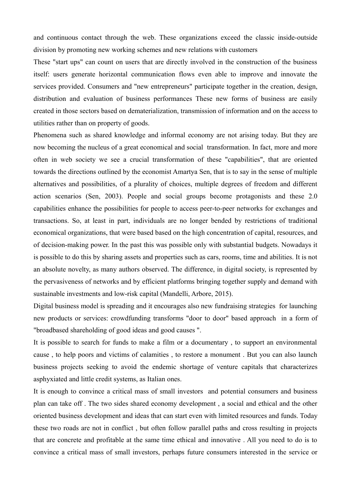and continuous contact through the web. These organizations exceed the classic inside-outside division by promoting new working schemes and new relations with customers

These "start ups" can count on users that are directly involved in the construction of the business itself: users generate horizontal communication flows even able to improve and innovate the services provided. Consumers and "new entrepreneurs" participate together in the creation, design, distribution and evaluation of business performances These new forms of business are easily created in those sectors based on dematerialization, transmission of information and on the access to utilities rather than on property of goods.

Phenomena such as shared knowledge and informal economy are not arising today. But they are now becoming the nucleus of a great economical and social transformation. In fact, more and more often in web society we see a crucial transformation of these "capabilities", that are oriented towards the directions outlined by the economist Amartya Sen, that is to say in the sense of multiple alternatives and possibilities, of a plurality of choices, multiple degrees of freedom and different action scenarios (Sen, 2003). People and social groups become protagonists and these 2.0 capabilities enhance the possibilities for people to access peer-to-peer networks for exchanges and transactions. So, at least in part, individuals are no longer bended by restrictions of traditional economical organizations, that were based based on the high concentration of capital, resources, and of decision-making power. In the past this was possible only with substantial budgets. Nowadays it is possible to do this by sharing assets and properties such as cars, rooms, time and abilities. It is not an absolute novelty, as many authors observed. The difference, in digital society, is represented by the pervasiveness of networks and by efficient platforms bringing together supply and demand with sustainable investments and low-risk capital (Mandelli, Arbore, 2015).

Digital business model is spreading and it encourages also new fundraising strategies for launching new products or services: crowdfunding transforms "door to door" based approach in a form of "broadbased shareholding of good ideas and good causes ".

It is possible to search for funds to make a film or a documentary , to support an environmental cause , to help poors and victims of calamities , to restore a monument . But you can also launch business projects seeking to avoid the endemic shortage of venture capitals that characterizes asphyxiated and little credit systems, as Italian ones.

It is enough to convince a critical mass of small investors and potential consumers and business plan can take off . The two sides shared economy development , a social and ethical and the other oriented business development and ideas that can start even with limited resources and funds. Today these two roads are not in conflict , but often follow parallel paths and cross resulting in projects that are concrete and profitable at the same time ethical and innovative . All you need to do is to convince a critical mass of small investors, perhaps future consumers interested in the service or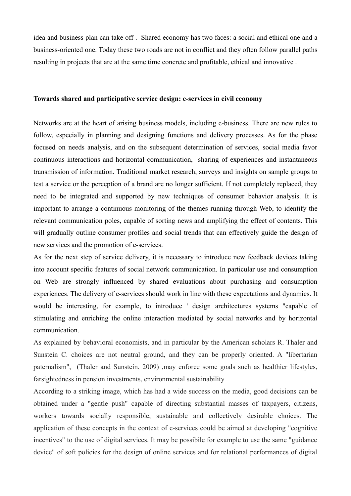idea and business plan can take off . Shared economy has two faces: a social and ethical one and a business-oriented one. Today these two roads are not in conflict and they often follow parallel paths resulting in projects that are at the same time concrete and profitable, ethical and innovative .

### **Towards shared and participative service design: e-services in civil economy**

Networks are at the heart of arising business models, including e-business. There are new rules to follow, especially in planning and designing functions and delivery processes. As for the phase focused on needs analysis, and on the subsequent determination of services, social media favor continuous interactions and horizontal communication, sharing of experiences and instantaneous transmission of information. Traditional market research, surveys and insights on sample groups to test a service or the perception of a brand are no longer sufficient. If not completely replaced, they need to be integrated and supported by new techniques of consumer behavior analysis. It is important to arrange a continuous monitoring of the themes running through Web, to identify the relevant communication poles, capable of sorting news and amplifying the effect of contents. This will gradually outline consumer profiles and social trends that can effectively guide the design of new services and the promotion of e-services.

As for the next step of service delivery, it is necessary to introduce new feedback devices taking into account specific features of social network communication. In particular use and consumption on Web are strongly influenced by shared evaluations about purchasing and consumption experiences. The delivery of e-services should work in line with these expectations and dynamics. It would be interesting, for example, to introduce ' design architectures systems "capable of stimulating and enriching the online interaction mediated by social networks and by horizontal communication.

As explained by behavioral economists, and in particular by the American scholars R. Thaler and Sunstein C. choices are not neutral ground, and they can be properly oriented. A "libertarian paternalism", (Thaler and Sunstein, 2009) ,may enforce some goals such as healthier lifestyles, farsightedness in pension investments, environmental sustainability

According to a striking image, which has had a wide success on the media, good decisions can be obtained under a "gentle push" capable of directing substantial masses of taxpayers, citizens, workers towards socially responsible, sustainable and collectively desirable choices. The application of these concepts in the context of e-services could be aimed at developing "cognitive incentives" to the use of digital services. It may be possibile for example to use the same "guidance device" of soft policies for the design of online services and for relational performances of digital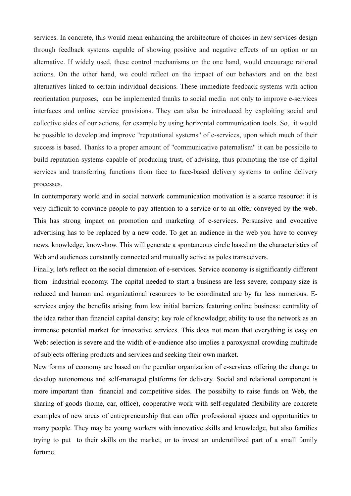services. In concrete, this would mean enhancing the architecture of choices in new services design through feedback systems capable of showing positive and negative effects of an option or an alternative. If widely used, these control mechanisms on the one hand, would encourage rational actions. On the other hand, we could reflect on the impact of our behaviors and on the best alternatives linked to certain individual decisions. These immediate feedback systems with action reorientation purposes, can be implemented thanks to social media not only to improve e-services interfaces and online service provisions. They can also be introduced by exploiting social and collective sides of our actions, for example by using horizontal communication tools. So, it would be possible to develop and improve "reputational systems" of e-services, upon which much of their success is based. Thanks to a proper amount of "communicative paternalism" it can be possibile to build reputation systems capable of producing trust, of advising, thus promoting the use of digital services and transferring functions from face to face-based delivery systems to online delivery processes.

In contemporary world and in social network communication motivation is a scarce resource: it is very difficult to convince people to pay attention to a service or to an offer conveyed by the web. This has strong impact on promotion and marketing of e-services. Persuasive and evocative advertising has to be replaced by a new code. To get an audience in the web you have to convey news, knowledge, know-how. This will generate a spontaneous circle based on the characteristics of Web and audiences constantly connected and mutually active as poles transceivers.

Finally, let's reflect on the social dimension of e-services. Service economy is significantly different from industrial economy. The capital needed to start a business are less severe; company size is reduced and human and organizational resources to be coordinated are by far less numerous. Eservices enjoy the benefits arising from low initial barriers featuring online business: centrality of the idea rather than financial capital density; key role of knowledge; ability to use the network as an immense potential market for innovative services. This does not mean that everything is easy on Web: selection is severe and the width of e-audience also implies a paroxysmal crowding multitude of subjects offering products and services and seeking their own market.

New forms of economy are based on the peculiar organization of e-services offering the change to develop autonomous and self-managed platforms for delivery. Social and relational component is more important than financial and competitive sides. The possibilty to raise funds on Web, the sharing of goods (home, car, office), cooperative work with self-regulated flexibility are concrete examples of new areas of entrepreneurship that can offer professional spaces and opportunities to many people. They may be young workers with innovative skills and knowledge, but also families trying to put to their skills on the market, or to invest an underutilized part of a small family fortune.